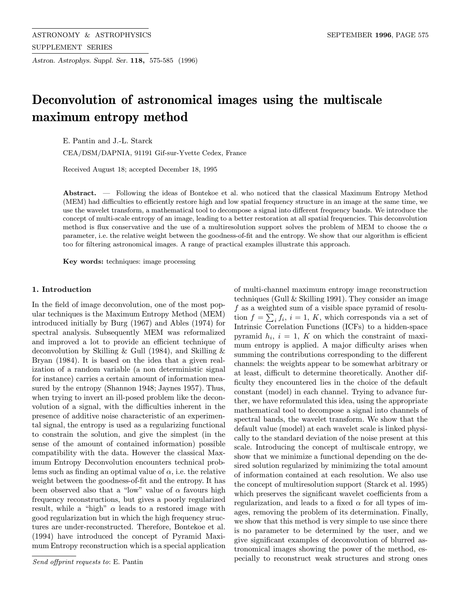Astron. Astrophys. Suppl. Ser. 118, 575-585 (1996)

# Deconvolution of astronomical images using the multiscale maximum entropy method

E. Pantin and J.-L. Starck

CEA/DSM/DAPNIA, 91191 Gif-sur-Yvette Cedex, France

Received August 18; accepted December 18, 1995

Abstract. — Following the ideas of Bontekoe et al. who noticed that the classical Maximum Entropy Method (MEM) had difficulties to efficiently restore high and low spatial frequency structure in an image at the same time, we use the wavelet transform, a mathematical tool to decompose a signal into different frequency bands. We introduce the concept of multi-scale entropy of an image, leading to a better restoration at all spatial frequencies. This deconvolution method is flux conservative and the use of a multiresolution support solves the problem of MEM to choose the  $\alpha$ parameter, i.e. the relative weight between the goodness-of-fit and the entropy. We show that our algorithm is efficient too for filtering astronomical images. A range of practical examples illustrate this approach.

Key words: techniques: image processing

## 1. Introduction

In the field of image deconvolution, one of the most popular techniques is the Maximum Entropy Method (MEM) introduced initially by Burg (1967) and Ables (1974) for spectral analysis. Subsequently MEM was reformalized and improved a lot to provide an efficient technique of deconvolution by Skilling & Gull (1984), and Skilling & Bryan (1984). It is based on the idea that a given realization of a random variable (a non deterministic signal for instance) carries a certain amount of information measured by the entropy (Shannon 1948; Jaynes 1957). Thus, when trying to invert an ill-posed problem like the deconvolution of a signal, with the difficulties inherent in the presence of additive noise characteristic of an experimental signal, the entropy is used as a regularizing functional to constrain the solution, and give the simplest (in the sense of the amount of contained information) possible compatibility with the data. However the classical Maximum Entropy Deconvolution encounters technical problems such as finding an optimal value of  $\alpha$ , i.e. the relative weight between the goodness-of-fit and the entropy. It has been observed also that a "low" value of  $\alpha$  favours high frequency reconstructions, but gives a poorly regularized result, while a "high"  $\alpha$  leads to a restored image with good regularization but in which the high frequency structures are under-reconstructed. Therefore, Bontekoe et al. (1994) have introduced the concept of Pyramid Maximum Entropy reconstruction which is a special application of multi-channel maximum entropy image reconstruction techniques (Gull & Skilling 1991). They consider an image f as a weighted sum of a visible space pyramid of resolution  $f = \sum_i f_i$ ,  $i = 1, K$ , which corresponds via a set of Intrinsic Correlation Functions (ICFs) to a hidden-space pyramid  $h_i$ ,  $i = 1$ , K on which the constraint of maximum entropy is applied. A major difficulty arises when summing the contributions corresponding to the different channels: the weights appear to be somewhat arbitrary or at least, difficult to determine theoretically. Another difficulty they encountered lies in the choice of the default constant (model) in each channel. Trying to advance further, we have reformulated this idea, using the appropriate mathematical tool to decompose a signal into channels of spectral bands, the wavelet transform. We show that the default value (model) at each wavelet scale is linked physically to the standard deviation of the noise present at this scale. Introducing the concept of multiscale entropy, we show that we minimize a functional depending on the desired solution regularized by minimizing the total amount of information contained at each resolution. We also use the concept of multiresolution support (Starck et al. 1995) which preserves the significant wavelet coefficients from a regularization, and leads to a fixed  $\alpha$  for all types of images, removing the problem of its determination. Finally, we show that this method is very simple to use since there is no parameter to be determined by the user, and we give significant examples of deconvolution of blurred astronomical images showing the power of the method, especially to reconstruct weak structures and strong ones

Send offprint requests to: E. Pantin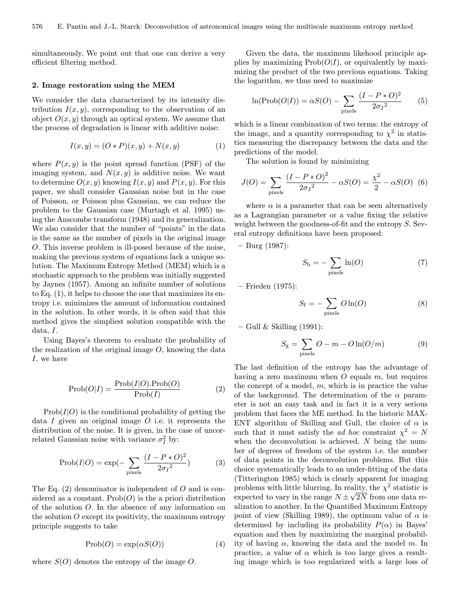simultaneously. We point out that one can derive a very efficient filtering method.

#### 2. Image restoration using the MEM

We consider the data characterized by its intensity distribution  $I(x, y)$ , corresponding to the observation of an object  $O(x, y)$  through an optical system. We assume that the process of degradation is linear with additive noise:

$$
I(x, y) = (O * P)(x, y) + N(x, y)
$$
 (1)

where  $P(x, y)$  is the point spread function (PSF) of the imaging system, and  $N(x, y)$  is additive noise. We want to determine  $O(x, y)$  knowing  $I(x, y)$  and  $P(x, y)$ . For this paper, we shall consider Gaussian noise but in the case of Poisson, or Poisson plus Gaussian, we can reduce the problem to the Gaussian case (Murtagh et al. 1995) using the Anscombe transform (1948) and its generalization. We also consider that the number of "points" in the data is the same as the number of pixels in the original image O. This inverse problem is ill-posed because of the noise, making the previous system of equations lack a unique solution. The Maximum Entropy Method (MEM) which is a stochastic approach to the problem was initially suggested by Jaynes (1957). Among an infinite number of solutions to Eq. (1), it helps to choose the one that maximizes its entropy i.e. minimizes the amount of information contained in the solution. In other words, it is often said that this method gives the simpliest solution compatible with the data, I.

Using Bayes's theorem to evaluate the probability of the realization of the original image  $O$ , knowing the data I, we have

$$
Prob(O|I) = \frac{Prob(I|O).Prob(O)}{Prob(I)}
$$
 (2)

 $Prob(I|O)$  is the conditional probability of getting the data I given an original image  $O$  i.e. it represents the distribution of the noise. It is given, in the case of uncorrelated Gaussian noise with variance  $\sigma_I^2$  by:

$$
Prob(I|O) = exp(-\sum_{\text{pixels}} \frac{(I - P * O)^2}{2\sigma_I^2})
$$
 (3)

The Eq.  $(2)$  denominator is independent of O and is considered as a constant.  $Prob(O)$  is the a priori distribution of the solution O. In the absence of any information on the solution  $O$  except its positivity, the maximum entropy principle suggests to take

$$
Prob(O) = \exp(\alpha S(O))
$$
 (4)

where  $S(O)$  denotes the entropy of the image O.

Given the data, the maximum likehood principle applies by maximizing  $\text{Prob}(O|I)$ , or equivalently by maximizing the product of the two previous equations. Taking the logarithm, we thus need to maximize

$$
\ln(\text{Prob}(O|I)) = \alpha S(O) - \sum_{\text{pixels}} \frac{(I - P * O)^2}{2\sigma_I^2} \tag{5}
$$

which is a linear combination of two terms: the entropy of the image, and a quantity corresponding to  $\chi^2$  in statistics measuring the discrepancy between the data and the predictions of the model.

The solution is found by minimizing

$$
J(O) = \sum_{\text{pixels}} \frac{(I - P * O)^2}{2\sigma_I^2} - \alpha S(O) = \frac{\chi^2}{2} - \alpha S(O) \tag{6}
$$

where  $\alpha$  is a parameter that can be seen alternatively as a Lagrangian parameter or a value fixing the relative weight between the goodness-of-fit and the entropy S. Several entropy definitions have been proposed:

– Burg (1987):

$$
S_{\rm b} = -\sum_{\rm pixels} \ln(O) \tag{7}
$$

– Frieden (1975):

$$
S_{\rm f} = -\sum_{\rm pixels} O \ln(O) \tag{8}
$$

 $-$  Gull & Skilling (1991):

$$
S_{\rm g} = \sum_{\rm pixels} O - m - O \ln(O/m) \tag{9}
$$

The last definition of the entropy has the advantage of having a zero maximum when  $O$  equals  $m$ , but requires the concept of a model,  $m$ , which is in practice the value of the background. The determination of the  $\alpha$  parameter is not an easy task and in fact it is a very serious problem that faces the ME method. In the historic MAX-ENT algorithm of Skilling and Gull, the choice of  $\alpha$  is such that it must satisfy the *ad hoc* constraint  $\chi^2 = N$ when the deconvolution is achieved,  $N$  being the number of degrees of freedom of the system i.e. the number of data points in the deconvolution problems. But this choice systematically leads to an under-fitting of the data (Titterington 1985) which is clearly apparent for imaging problems with little blurring. In reality, the  $\chi^2$  statistic is problems with little blurring. In reality, the  $\chi$ <sup>-</sup> statistic is expected to vary in the range  $N \pm \sqrt{2N}$  from one data realization to another. In the Quantified Maximum Entropy point of view (Skilling 1989), the optimum value of  $\alpha$  is determined by including its probability  $P(\alpha)$  in Bayes' equation and then by maximizing the marginal probability of having  $\alpha$ , knowing the data and the model m. In practice, a value of  $\alpha$  which is too large gives a resulting image which is too regularized with a large loss of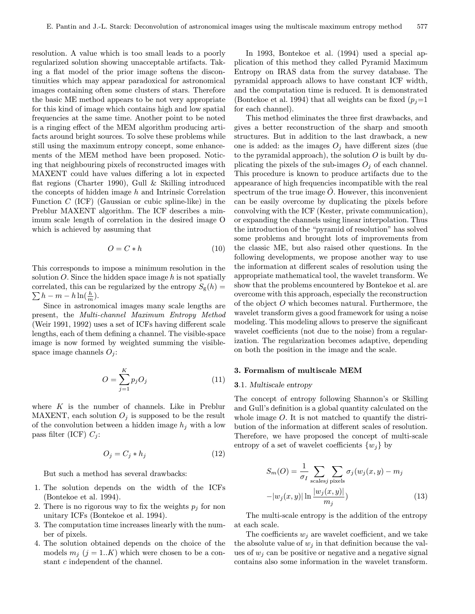resolution. A value which is too small leads to a poorly regularized solution showing unacceptable artifacts. Taking a flat model of the prior image softens the discontinuities which may appear paradoxical for astronomical images containing often some clusters of stars. Therefore the basic ME method appears to be not very appropriate for this kind of image which contains high and low spatial frequencies at the same time. Another point to be noted is a ringing effect of the MEM algorithm producing artifacts around bright sources. To solve these problems while still using the maximum entropy concept, some enhancements of the MEM method have been proposed. Noticing that neighbouring pixels of reconstructed images with MAXENT could have values differing a lot in expected flat regions (Charter 1990), Gull & Skilling introduced the concepts of hidden image  $h$  and Intrinsic Correlation Function  $C$  (ICF) (Gaussian or cubic spline-like) in the Preblur MAXENT algorithm. The ICF describes a minimum scale length of correlation in the desired image O which is achieved by assuming that

$$
O = C * h \tag{10}
$$

This corresponds to impose a minimum resolution in the solution  $O$ . Since the hidden space image h is not spatially  $\sum h - m - h \ln(\frac{h}{m}).$ correlated, this can be regularized by the entropy  $S_{\rm g}(h)$  =

Since in astronomical images many scale lengths are present, the Multi-channel Maximum Entropy Method (Weir 1991, 1992) uses a set of ICFs having different scale lengths, each of them defining a channel. The visible-space image is now formed by weighted summing the visiblespace image channels  $O_i$ :

$$
O = \sum_{j=1}^{K} p_j O_j \tag{11}
$$

where  $K$  is the number of channels. Like in Preblur MAXENT, each solution  $O_j$  is supposed to be the result of the convolution between a hidden image  $h_j$  with a low pass filter (ICF)  $C_j$ :

$$
O_j = C_j * h_j \tag{12}
$$

But such a method has several drawbacks:

- 1. The solution depends on the width of the ICFs (Bontekoe et al. 1994).
- 2. There is no rigorous way to fix the weights  $p_j$  for non unitary ICFs (Bontekoe et al. 1994).
- 3. The computation time increases linearly with the number of pixels.
- 4. The solution obtained depends on the choice of the models  $m_j$  (j = 1..K) which were chosen to be a constant c independent of the channel.

In 1993, Bontekoe et al. (1994) used a special application of this method they called Pyramid Maximum Entropy on IRAS data from the survey database. The pyramidal approach allows to have constant ICF width, and the computation time is reduced. It is demonstrated (Bontekoe et al. 1994) that all weights can be fixed  $(p_i=1)$ for each channel).

This method eliminates the three first drawbacks, and gives a better reconstruction of the sharp and smooth structures. But in addition to the last drawback, a new one is added: as the images  $O_j$  have different sizes (due to the pyramidal approach), the solution  $O$  is built by duplicating the pixels of the sub-images  $O_j$  of each channel. This procedure is known to produce artifacts due to the appearance of high frequencies incompatible with the real spectrum of the true image  $\ddot{O}$ . However, this inconvenient can be easily overcome by duplicating the pixels before convolving with the ICF (Kester, private communication), or expanding the channels using linear interpolation. Thus the introduction of the "pyramid of resolution" has solved some problems and brought lots of improvements from the classic ME, but also raised other questions. In the following developments, we propose another way to use the information at different scales of resolution using the appropriate mathematical tool, the wavelet transform. We show that the problems encountered by Bontekoe et al. are overcome with this approach, especially the reconstruction of the object O which becomes natural. Furthermore, the wavelet transform gives a good framework for using a noise modeling. This modeling allows to preserve the significant wavelet coefficients (not due to the noise) from a regularization. The regularization becomes adaptive, depending on both the position in the image and the scale.

## 3. Formalism of multiscale MEM

## 3.1. Multiscale entropy

The concept of entropy following Shannon's or Skilling and Gull's definition is a global quantity calculated on the whole image O. It is not matched to quantify the distribution of the information at different scales of resolution. Therefore, we have proposed the concept of multi-scale entropy of a set of wavelet coefficients  $\{w_i\}$  by

$$
S_m(O) = \frac{1}{\sigma_I} \sum_{\text{scales}j} \sum_{\text{pixels}j} \sigma_j(w_j(x, y) - m_j
$$

$$
-|w_j(x, y)| \ln \frac{|w_j(x, y)|}{m_j})
$$
(13)

The multi-scale entropy is the addition of the entropy at each scale.

The coefficients  $w_j$  are wavelet coefficient, and we take the absolute value of  $w_j$  in that definition because the values of  $w_j$  can be positive or negative and a negative signal contains also some information in the wavelet transform.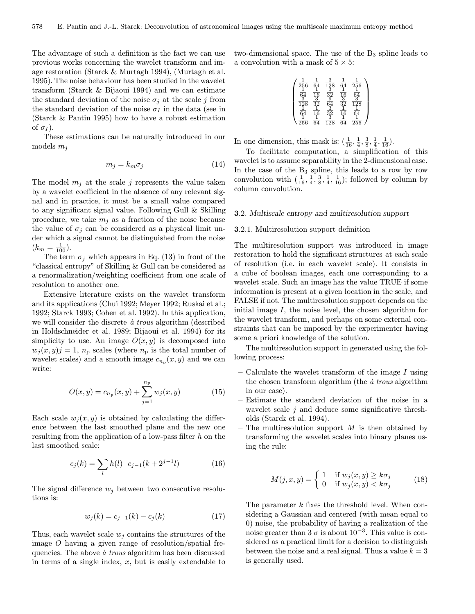The advantage of such a definition is the fact we can use previous works concerning the wavelet transform and image restoration (Starck & Murtagh 1994), (Murtagh et al. 1995). The noise behaviour has been studied in the wavelet transform (Starck & Bijaoui 1994) and we can estimate the standard deviation of the noise  $\sigma_j$  at the scale j from the standard deviation of the noise  $\sigma_I$  in the data (see in (Starck & Pantin 1995) how to have a robust estimation of  $\sigma_I$ ).

These estimations can be naturally introduced in our models  $m_i$ 

$$
m_j = k_m \sigma_j \tag{14}
$$

The model  $m_j$  at the scale j represents the value taken by a wavelet coefficient in the absence of any relevant signal and in practice, it must be a small value compared to any significant signal value. Following Gull & Skilling procedure, we take  $m_i$  as a fraction of the noise because the value of  $\sigma_j$  can be considered as a physical limit under which a signal cannot be distinguished from the noise  $(k_m = \frac{1}{100}).$ 

The term  $\sigma_i$  which appears in Eq. (13) in front of the "classical entropy" of Skilling & Gull can be considered as a renormalization/weighting coefficient from one scale of resolution to another one.

Extensive literature exists on the wavelet transform and its applications (Chui 1992; Meyer 1992; Ruskai et al.; 1992; Starck 1993; Cohen et al. 1992). In this application, we will consider the discrete  $\dot{a}$  trous algorithm (described in Holdschneider et al. 1989; Bijaoui et al. 1994) for its simplicity to use. An image  $O(x, y)$  is decomposed into  $w_j(x, y) = 1$ ,  $n_p$  scales (where  $n_p$  is the total number of wavelet scales) and a smooth image  $c_{n_p}(x, y)$  and we can write:

$$
O(x, y) = c_{np}(x, y) + \sum_{j=1}^{np} w_j(x, y)
$$
 (15)

Each scale  $w_j(x, y)$  is obtained by calculating the difference between the last smoothed plane and the new one resulting from the application of a low-pass filter  $h$  on the last smoothed scale:

$$
c_j(k) = \sum_l h(l) \ c_{j-1}(k+2^{j-1}l) \tag{16}
$$

The signal difference  $w_j$  between two consecutive resolutions is:

$$
w_j(k) = c_{j-1}(k) - c_j(k)
$$
 (17)

Thus, each wavelet scale  $w_i$  contains the structures of the image  $O$  having a given range of resolution/spatial frequencies. The above  $\dot{a}$  trous algorithm has been discussed in terms of a single index,  $x$ , but is easily extendable to two-dimensional space. The use of the  $B_3$  spline leads to a convolution with a mask of  $5 \times 5$ :

$$
\left(\begin{array}{cccc} \frac{1}{256} & \frac{1}{64} & \frac{3}{128} & \frac{1}{64} & \frac{1}{256} \\ \frac{1}{64} & \frac{1}{16} & \frac{3}{32} & \frac{1}{16} & \frac{1}{64} \\ \frac{3}{128} & \frac{3}{32} & \frac{3}{64} & \frac{3}{32} & \frac{3}{128} \\ \frac{1}{64} & \frac{1}{16} & \frac{3}{32} & \frac{1}{16} & \frac{1}{64} \\ \frac{1}{256} & \frac{1}{64} & \frac{3}{128} & \frac{1}{64} & \frac{1}{256} \end{array}\right)
$$

In one dimension, this mask is:  $(\frac{1}{16}, \frac{1}{4}, \frac{3}{8}, \frac{1}{4}, \frac{1}{16})$ .

To facilitate computation, a simplification of this wavelet is to assume separability in the 2-dimensional case. In the case of the  $B_3$  spline, this leads to a row by row convolution with  $\left(\frac{1}{16}, \frac{1}{4}, \frac{3}{8}, \frac{1}{4}, \frac{1}{16}\right)$ ; followed by column by column convolution.

## 3.2. Multiscale entropy and multiresolution support

## 3.2.1. Multiresolution support definition

The multiresolution support was introduced in image restoration to hold the significant structures at each scale of resolution (i.e. in each wavelet scale). It consists in a cube of boolean images, each one corresponding to a wavelet scale. Such an image has the value TRUE if some information is present at a given location in the scale, and FALSE if not. The multiresolution support depends on the initial image  $I$ , the noise level, the chosen algorithm for the wavelet transform, and perhaps on some external constraints that can be imposed by the experimenter having some a priori knowledge of the solution.

The multiresolution support in generated using the following process:

- Calculate the wavelet transform of the image  $I$  using the chosen transform algorithm (the  $\dot{a}$  trous algorithm in our case).
- Estimate the standard deviation of the noise in a wavelet scale  $j$  and deduce some significative thresholds (Starck et al. 1994).
- The multiresolution support  $M$  is then obtained by transforming the wavelet scales into binary planes using the rule:

$$
M(j, x, y) = \begin{cases} 1 & \text{if } w_j(x, y) \ge k\sigma_j \\ 0 & \text{if } w_j(x, y) < k\sigma_j \end{cases}
$$
 (18)

The parameter k fixes the threshold level. When considering a Gaussian and centered (with mean equal to 0) noise, the probability of having a realization of the noise greater than 3  $\sigma$  is about 10<sup>-3</sup>. This value is considered as a practical limit for a decision to distinguish between the noise and a real signal. Thus a value  $k = 3$ is generally used.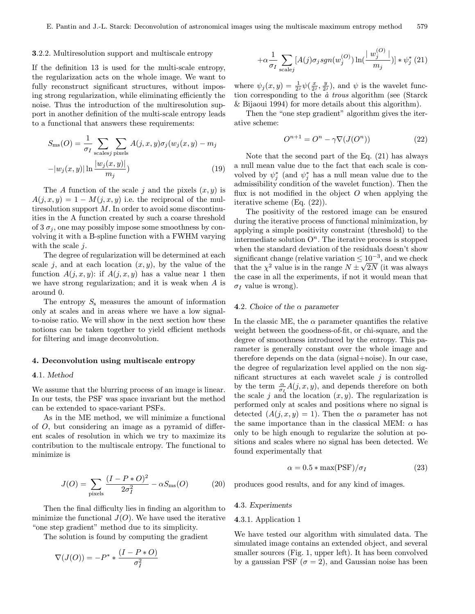#### 3.2.2. Multiresolution support and multiscale entropy

If the definition 13 is used for the multi-scale entropy, the regularization acts on the whole image. We want to fully reconstruct significant structures, without imposing strong regularization, while eliminating efficiently the noise. Thus the introduction of the multiresolution support in another definition of the multi-scale entropy leads to a functional that answers these requirements:

$$
S_{\rm ms}(O) = \frac{1}{\sigma_I} \sum_{\text{scales}j} \sum_{\text{pixels}} A(j, x, y) \sigma_j(w_j(x, y) - m_j
$$

$$
-|w_j(x, y)| \ln \frac{|w_j(x, y)|}{m_j})
$$
(19)

The A function of the scale j and the pixels  $(x, y)$  is  $A(j, x, y)=1 - M(j, x, y)$  i.e. the reciprocal of the multiresolution support  $M$ . In order to avoid some discontinuities in the A function created by such a coarse threshold of 3  $\sigma_i$ , one may possibly impose some smoothness by convolving it with a B-spline function with a FWHM varying with the scale  $i$ .

The degree of regularization will be determined at each scale j, and at each location  $(x, y)$ , by the value of the function  $A(i, x, y)$ : if  $A(i, x, y)$  has a value near 1 then we have strong regularization; and it is weak when A is around 0.

The entropy  $S_s$  measures the amount of information only at scales and in areas where we have a low signalto-noise ratio. We will show in the next section how these notions can be taken together to yield efficient methods for filtering and image deconvolution.

## 4. Deconvolution using multiscale entropy

## 4.1. Method

We assume that the blurring process of an image is linear. In our tests, the PSF was space invariant but the method can be extended to space-variant PSFs.

As in the ME method, we will minimize a functional of O, but considering an image as a pyramid of different scales of resolution in which we try to maximize its contribution to the multiscale entropy. The functional to minimize is

$$
J(O) = \sum_{\text{pixels}} \frac{(I - P * O)^2}{2\sigma_I^2} - \alpha S_{\text{ms}}(O) \tag{20}
$$

Then the final difficulty lies in finding an algorithm to minimize the functional  $J(O)$ . We have used the iterative "one step gradient" method due to its simplicity.

The solution is found by computing the gradient

$$
\nabla(J(O)) = -P^* * \frac{(I - P * O)}{\sigma_I^2}
$$

$$
+\alpha \frac{1}{\sigma_I} \sum_{\text{scale}j} [A(j)\sigma_j sgn(w_j^{(O)}) \ln(\frac{w_j^{(O)}}{m_j})] * \psi_j^*(21)
$$

where  $\psi_j(x, y) = \frac{1}{2^j} \psi(\frac{x}{2^j}, \frac{y}{2^j})$ , and  $\psi$  is the wavelet function corresponding to the  $\dot{a}$  trous algorithm (see (Starck & Bijaoui 1994) for more details about this algorithm).

Then the "one step gradient" algorithm gives the iterative scheme:

$$
O^{n+1} = O^n - \gamma \nabla (J(O^n)) \tag{22}
$$

Note that the second part of the Eq. (21) has always a null mean value due to the fact that each scale is convolved by  $\psi_j^*$  (and  $\psi_j^*$  has a null mean value due to the admissibility condition of the wavelet function). Then the flux is not modified in the object  $O$  when applying the iterative scheme (Eq. (22)).

The positivity of the restored image can be ensured during the iterative process of functional minimization, by applying a simple positivity constraint (threshold) to the intermediate solution  $O<sup>n</sup>$ . The iterative process is stopped when the standard deviation of the residuals doesn't show significant change (relative variation  $\leq 10^{-3}$ , and we check that the  $\chi^2$  value is in the range  $N \pm \sqrt{2N}$  (it was always the case in all the experiments, if not it would mean that  $\sigma_I$  value is wrong).

## 4.2. Choice of the  $\alpha$  parameter

In the classic ME, the  $\alpha$  parameter quantifies the relative weight between the goodness-of-fit, or chi-square, and the degree of smoothness introduced by the entropy. This parameter is generally constant over the whole image and therefore depends on the data (signal+noise). In our case, the degree of regularization level applied on the non significant structures at each wavelet scale  $j$  is controlled by the term  $\frac{\alpha}{\sigma_I}A(j, x, y)$ , and depends therefore on both the scale j and the location  $(x, y)$ . The regularization is performed only at scales and positions where no signal is detected  $(A(j, x, y) = 1)$ . Then the  $\alpha$  parameter has not the same importance than in the classical MEM:  $\alpha$  has only to be high enough to regularize the solution at positions and scales where no signal has been detected. We found experimentally that

$$
\alpha = 0.5 * \max(\text{PSF})/\sigma_I \tag{23}
$$

produces good results, and for any kind of images.

#### 4.3. Experiments

## 4.3.1. Application 1

We have tested our algorithm with simulated data. The simulated image contains an extended object, and several smaller sources (Fig. 1, upper left). It has been convolved by a gaussian PSF ( $\sigma = 2$ ), and Gaussian noise has been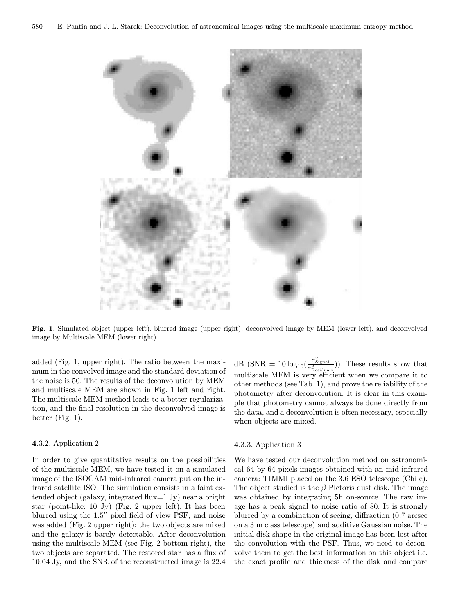

Fig. 1. Simulated object (upper left), blurred image (upper right), deconvolved image by MEM (lower left), and deconvolved image by Multiscale MEM (lower right)

added (Fig. 1, upper right). The ratio between the maximum in the convolved image and the standard deviation of the noise is 50. The results of the deconvolution by MEM and multiscale MEM are shown in Fig. 1 left and right. The multiscale MEM method leads to a better regularization, and the final resolution in the deconvolved image is better (Fig. 1).

## 4.3.2. Application 2

In order to give quantitative results on the possibilities of the multiscale MEM, we have tested it on a simulated image of the ISOCAM mid-infrared camera put on the infrared satellite ISO. The simulation consists in a faint extended object (galaxy, integrated flux=1 Jy) near a bright star (point-like: 10 Jy) (Fig. 2 upper left). It has been blurred using the  $1.5$ " pixel field of view PSF, and noise was added (Fig. 2 upper right): the two objects are mixed and the galaxy is barely detectable. After deconvolution using the multiscale MEM (see Fig. 2 bottom right), the two objects are separated. The restored star has a flux of 10.04 Jy, and the SNR of the reconstructed image is 22.4

dB (SNR =  $10 \log_{10} \left( \frac{\sigma_{\text{Signal}}^2}{\sigma_{\text{Residuals}}^2} \right)$ ). These results show that multiscale MEM is very efficient when we compare it to other methods (see Tab. 1), and prove the reliability of the photometry after deconvolution. It is clear in this example that photometry cannot always be done directly from the data, and a deconvolution is often necessary, especially when objects are mixed.

## 4.3.3. Application 3

We have tested our deconvolution method on astronomical 64 by 64 pixels images obtained with an mid-infrared camera: TIMMI placed on the 3.6 ESO telescope (Chile). The object studied is the  $\beta$  Pictoris dust disk. The image was obtained by integrating 5h on-source. The raw image has a peak signal to noise ratio of 80. It is strongly blurred by a combination of seeing, diffraction (0.7 arcsec on a 3 m class telescope) and additive Gaussian noise. The initial disk shape in the original image has been lost after the convolution with the PSF. Thus, we need to deconvolve them to get the best information on this object i.e. the exact profile and thickness of the disk and compare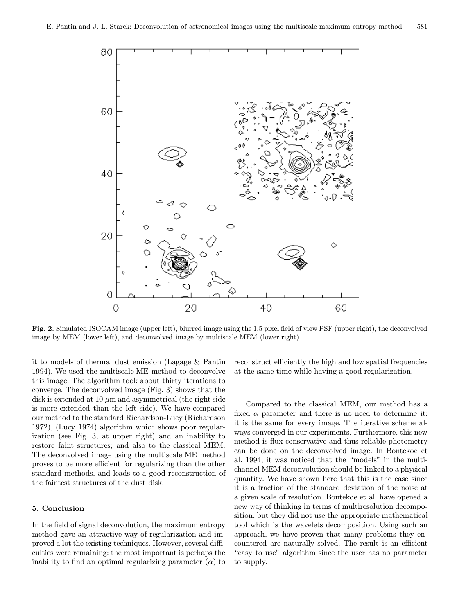

Fig. 2. Simulated ISOCAM image (upper left), blurred image using the 1.5 pixel field of view PSF (upper right), the deconvolved image by MEM (lower left), and deconvolved image by multiscale MEM (lower right)

it to models of thermal dust emission (Lagage & Pantin 1994). We used the multiscale ME method to deconvolve this image. The algorithm took about thirty iterations to converge. The deconvolved image (Fig. 3) shows that the disk is extended at 10  $\mu$ m and asymmetrical (the right side is more extended than the left side). We have compared our method to the standard Richardson-Lucy (Richardson 1972), (Lucy 1974) algorithm which shows poor regularization (see Fig. 3, at upper right) and an inability to restore faint structures; and also to the classical MEM. The deconvolved image using the multiscale ME method proves to be more efficient for regularizing than the other standard methods, and leads to a good reconstruction of the faintest structures of the dust disk.

## 5. Conclusion

In the field of signal deconvolution, the maximum entropy method gave an attractive way of regularization and improved a lot the existing techniques. However, several difficulties were remaining: the most important is perhaps the inability to find an optimal regularizing parameter  $(\alpha)$  to reconstruct efficiently the high and low spatial frequencies at the same time while having a good regularization.

Compared to the classical MEM, our method has a fixed  $\alpha$  parameter and there is no need to determine it: it is the same for every image. The iterative scheme always converged in our experiments. Furthermore, this new method is flux-conservative and thus reliable photometry can be done on the deconvolved image. In Bontekoe et al. 1994, it was noticed that the "models" in the multichannel MEM deconvolution should be linked to a physical quantity. We have shown here that this is the case since it is a fraction of the standard deviation of the noise at a given scale of resolution. Bontekoe et al. have opened a new way of thinking in terms of multiresolution decomposition, but they did not use the appropriate mathematical tool which is the wavelets decomposition. Using such an approach, we have proven that many problems they encountered are naturally solved. The result is an efficient "easy to use" algorithm since the user has no parameter to supply.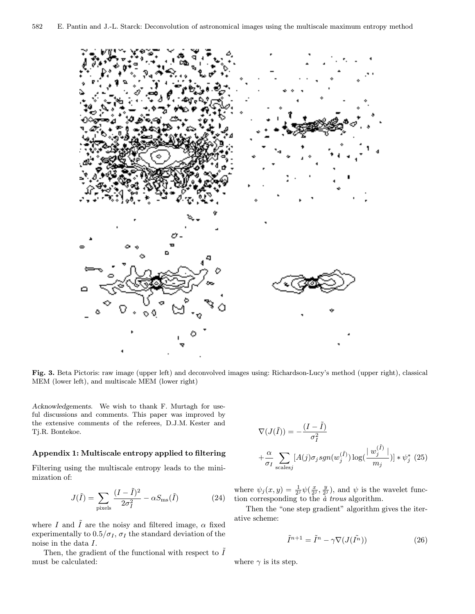

Fig. 3. Beta Pictoris: raw image (upper left) and deconvolved images using: Richardson-Lucy's method (upper right), classical MEM (lower left), and multiscale MEM (lower right)

Acknowledgements. We wish to thank F. Murtagh for useful discussions and comments. This paper was improved by the extensive comments of the referees, D.J.M. Kester and Tj.R. Bontekoe.

## Appendix 1: Multiscale entropy applied to filtering

Filtering using the multiscale entropy leads to the minimization of:

$$
J(\tilde{I}) = \sum_{\text{pixels}} \frac{(I - \tilde{I})^2}{2\sigma_I^2} - \alpha S_{\text{ms}}(\tilde{I}) \tag{24}
$$

where I and  $\tilde{I}$  are the noisy and filtered image,  $\alpha$  fixed experimentally to  $0.5/\sigma_I$ ,  $\sigma_I$  the standard deviation of the noise in the data I.

Then, the gradient of the functional with respect to  $\tilde{I}$ must be calculated:

$$
\nabla(J(\tilde{I})) = -\frac{(I - \tilde{I})}{\sigma_I^2}
$$

$$
+ \frac{\alpha}{\sigma_I} \sum_{\text{scales}j} [A(j)\sigma_j sgn(w_j^{(\tilde{I})}) \log(\frac{w_j^{(\tilde{I})}}{m_j})] * \psi_j^* (25)
$$

where  $\psi_j(x, y) = \frac{1}{2^j} \psi(\frac{x}{2^j}, \frac{y}{2^j})$ , and  $\psi$  is the wavelet function corresponding to the  $\dot{a}$  trous algorithm.

Then the "one step gradient" algorithm gives the iterative scheme:

$$
\tilde{I}^{n+1} = \tilde{I}^n - \gamma \nabla (J(\tilde{I}^n))
$$
\n(26)

where  $\gamma$  is its step.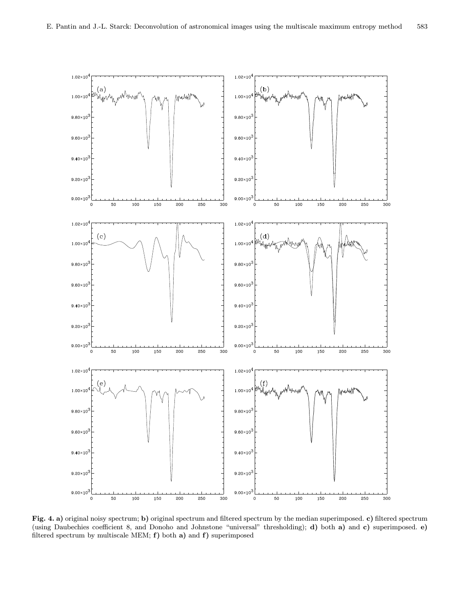

Fig. 4. a) original noisy spectrum; b) original spectrum and filtered spectrum by the median superimposed. c) filtered spectrum (using Daubechies coefficient 8, and Donoho and Johnstone "universal" thresholding); d) both a) and c) superimposed. e) filtered spectrum by multiscale MEM;  $f$ ) both a) and  $f$ ) superimposed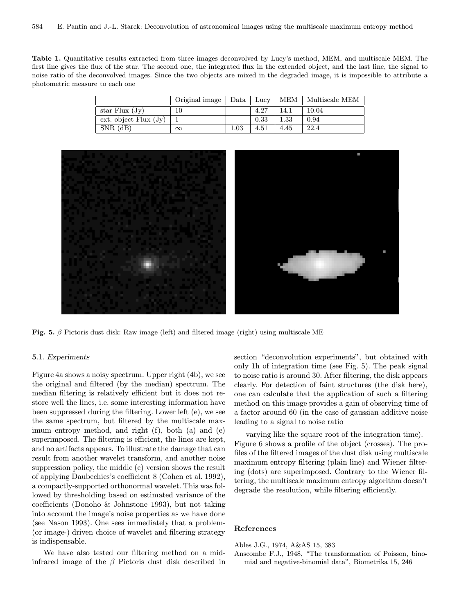Table 1. Quantitative results extracted from three images deconvolved by Lucy's method, MEM, and multiscale MEM. The first line gives the flux of the star. The second one, the integrated flux in the extended object, and the last line, the signal to noise ratio of the deconvolved images. Since the two objects are mixed in the degraded image, it is impossible to attribute a photometric measure to each one

|                         | Original image | Data   Lucy |      |      | MEM   Multiscale MEM |
|-------------------------|----------------|-------------|------|------|----------------------|
| star Flux $(Jv)$        |                |             | 4.27 | 14.1 | 10.04                |
| ext. object $Flux (Jy)$ |                |             | 0.33 | 1.33 | 0.94                 |
| $SNR$ (dB)              | $\infty$       | 1.03        | 4.51 | 4.45 | 22.4                 |



Fig. 5.  $\beta$  Pictoris dust disk: Raw image (left) and filtered image (right) using multiscale ME

## 5.1. Experiments

Figure 4a shows a noisy spectrum. Upper right (4b), we see the original and filtered (by the median) spectrum. The median filtering is relatively efficient but it does not restore well the lines, i.e. some interesting information have been suppressed during the filtering. Lower left (e), we see the same spectrum, but filtered by the multiscale maximum entropy method, and right (f), both (a) and (e) superimposed. The filtering is efficient, the lines are kept, and no artifacts appears. To illustrate the damage that can result from another wavelet transform, and another noise suppression policy, the middle (c) version shows the result of applying Daubechies's coefficient 8 (Cohen et al. 1992), a compactly-supported orthonormal wavelet. This was followed by thresholding based on estimated variance of the coefficients (Donoho & Johnstone 1993), but not taking into account the image's noise properties as we have done (see Nason 1993). One sees immediately that a problem- (or image-) driven choice of wavelet and filtering strategy is indispensable.

We have also tested our filtering method on a midinfrared image of the  $\beta$  Pictoris dust disk described in section "deconvolution experiments", but obtained with only 1h of integration time (see Fig. 5). The peak signal to noise ratio is around 30. After filtering, the disk appears clearly. For detection of faint structures (the disk here), one can calculate that the application of such a filtering method on this image provides a gain of observing time of a factor around 60 (in the case of gaussian additive noise leading to a signal to noise ratio

varying like the square root of the integration time). Figure 6 shows a profile of the object (crosses). The profiles of the filtered images of the dust disk using multiscale maximum entropy filtering (plain line) and Wiener filtering (dots) are superimposed. Contrary to the Wiener filtering, the multiscale maximum entropy algorithm doesn't degrade the resolution, while filtering efficiently.

## References

Ables J.G., 1974, A&AS 15, 383

Anscombe F.J., 1948, "The transformation of Poisson, binomial and negative-binomial data", Biometrika 15, 246